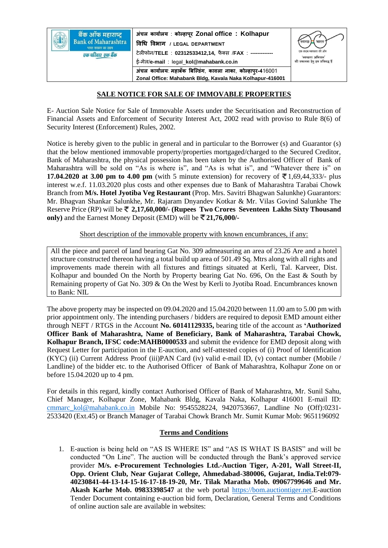| बैंक ऑफ महाराष्ट्र<br><b>Bank of Maharashtra</b><br>भारत सरकार का उद्यम | अंचल कार्यालय : कोल्हापूर Zonal office : Kolhapur            | स्वच्छ<br>भारत                             |
|-------------------------------------------------------------------------|--------------------------------------------------------------|--------------------------------------------|
|                                                                         | विधि विभाग / LEGAL DEPARTMENT                                |                                            |
| एक परिवार एक बैंक                                                       | टेलीफोन/TELE: 02312533412,14, फैक्स /FAX: -------------      | एक कदम स्वच्छता की ओर<br>'स्वच्छता अभियान' |
|                                                                         | ई-मेल/e-mail : legal_kol@mahabank.co.in                      | की सफलता हेतु हम प्रतिबद्ध हैं             |
|                                                                         | अंचल कार्यालय: महाबँक बिल्डिंग, कावला नाका, कोल्हापुर-416001 |                                            |
|                                                                         | Zonal Office: Mahabank Bldg, Kavala Naka Kolhapur-416001     |                                            |

## **SALE NOTICE FOR SALE OF IMMOVABLE PROPERTIES**

E- Auction Sale Notice for Sale of Immovable Assets under the Securitisation and Reconstruction of Financial Assets and Enforcement of Security Interest Act, 2002 read with proviso to Rule 8(6) of Security Interest (Enforcement) Rules, 2002.

Notice is hereby given to the public in general and in particular to the Borrower (s) and Guarantor (s) that the below mentioned immovable property/properties mortgaged/charged to the Secured Creditor, Bank of Maharashtra, the physical possession has been taken by the Authorised Officer of Bank of Maharashtra will be sold on "As is where is", and "As is what is", and "Whatever there is" on **17.04.2020 at 3.00 pm to 4.00 pm** (with 5 minute extension) for recovery of  $\bar{\bar{\xi}}$  1,69,44,333/- plus interest w.e.f. 11.03.2020 plus costs and other expenses due to Bank of Maharashtra Tarabai Chowk Branch from **M/s. Hotel Jyotiba Veg Restaurant** (Prop. Mrs. Savitri Bhagwan Salunkhe) Guarantors: Mr. Bhagvan Shankar Salunkhe, Mr. Rajaram Dnyandev Kotkar & Mr. Vilas Govind Salunkhe The Reserve Price (RP) will be **2,17,60,000/- (Rupees Two Crores Seventeen Lakhs Sixty Thousand only)** and the Earnest Money Deposit (EMD) will be **21,76,000/-** 

Short description of the immovable property with known encumbrances, if any:

All the piece and parcel of land bearing Gat No. 309 admeasuring an area of 23.26 Are and a hotel structure constructed thereon having a total build up area of 501.49 Sq. Mtrs along with all rights and improvements made therein with all fixtures and fittings situated at Kerli, Tal. Karveer, Dist. Kolhapur and bounded On the North by Property bearing Gat No. 696, On the East & South by Remaining property of Gat No. 309 & On the West by Kerli to Jyotiba Road. Encumbrances known to Bank: NIL

The above property may be inspected on 09.04.2020 and 15.04.2020 between 11.00 am to 5.00 pm with prior appointment only. The intending purchasers / bidders are required to deposit EMD amount either through NEFT / RTGS in the Account **No. 60141129335,** bearing title of the account as **'Authorized Officer Bank of Maharashtra, Name of Beneficiary, Bank of Maharashtra, Tarabai Chowk, Kolhapur Branch, IFSC code:MAHB0000533** and submit the evidence for EMD deposit along with Request Letter for participation in the E-auction, and self-attested copies of (i) Proof of Identification (KYC) (ii) Current Address Proof (iii)PAN Card (iv) valid e-mail ID, (v) contact number (Mobile / Landline) of the bidder etc. to the Authorised Officer of Bank of Maharashtra, Kolhapur Zone on or before 15.04.2020 up to 4 pm.

For details in this regard, kindly contact Authorised Officer of Bank of Maharashtra, Mr. Sunil Sahu, Chief Manager, Kolhapur Zone, Mahabank Bldg, Kavala Naka, Kolhapur 416001 E-mail ID: [cmmarc\\_kol@mahabank.co.in](mailto:cmmarc_kol@mahabank.co.in) Mobile No: 9545528224, 9420753667, Landline No (Off):0231- 2533420 (Ext.45) or Branch Manager of Tarabai Chowk Branch Mr. Sumit Kumar Mob: 9651196092

## **Terms and Conditions**

1. E-auction is being held on "AS IS WHERE IS" and "AS IS WHAT IS BASIS" and will be conducted "On Line". The auction will be conducted through the Bank's approved service provider **M/s. e-Procurement Technologies Ltd.-Auction Tiger, A-201, Wall Street-II, Opp. Orient Club, Near Gujarat College, Ahmedabad-380006, Gujarat, India.Tel:079- 40230841-44-13-14-15-16-17-18-19-20, Mr. Tilak Maratha Mob. 09067799646 and Mr. Akash Karhe Mob. 09833398547** at the web portal [https://bom.auctiontiger.net.](https://bom.auctiontiger.net/)E-auction Tender Document containing e-auction bid form, Declaration, General Terms and Conditions of online auction sale are available in websites: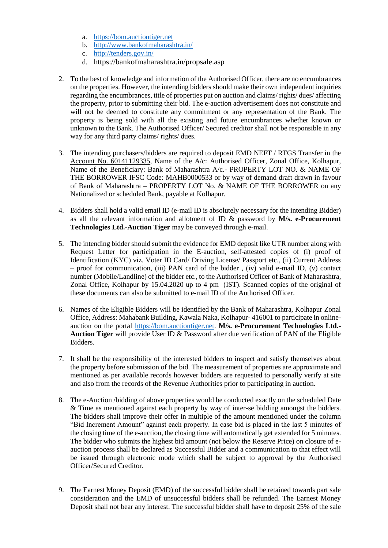- a. [https://bom.auctiontiger.net](https://bom.auctiontiger.net/)
- b. <http://www.bankofmaharashtra.in/>
- c. <http://tenders.gov.in/>
- d. https://bankofmaharashtra.in/propsale.asp
- 2. To the best of knowledge and information of the Authorised Officer, there are no encumbrances on the properties. However, the intending bidders should make their own independent inquiries regarding the encumbrances, title of properties put on auction and claims/ rights/ dues/ affecting the property, prior to submitting their bid. The e-auction advertisement does not constitute and will not be deemed to constitute any commitment or any representation of the Bank. The property is being sold with all the existing and future encumbrances whether known or unknown to the Bank. The Authorised Officer/ Secured creditor shall not be responsible in any way for any third party claims/ rights/ dues.
- 3. The intending purchasers/bidders are required to deposit EMD NEFT / RTGS Transfer in the Account No. 60141129335, Name of the A/c: Authorised Officer, Zonal Office, Kolhapur, Name of the Beneficiary: Bank of Maharashtra A/c.- PROPERTY LOT NO. & NAME OF THE BORROWER IFSC Code: MAHB0000533 or by way of demand draft drawn in favour of Bank of Maharashtra – PROPERTY LOT No. & NAME OF THE BORROWER on any Nationalized or scheduled Bank, payable at Kolhapur.
- 4. Bidders shall hold a valid email ID (e-mail ID is absolutely necessary for the intending Bidder) as all the relevant information and allotment of ID & password by **M/s. e-Procurement Technologies Ltd.-Auction Tiger** may be conveyed through e-mail.
- 5. The intending bidder should submit the evidence for EMD deposit like UTR number along with Request Letter for participation in the E-auction, self-attested copies of (i) proof of Identification (KYC) viz. Voter ID Card/ Driving License/ Passport etc., (ii) Current Address – proof for communication, (iii) PAN card of the bidder , (iv) valid e-mail ID, (v) contact number (Mobile/Landline) of the bidder etc., to the Authorised Officer of Bank of Maharashtra, Zonal Office, Kolhapur by 15.04.2020 up to 4 pm (IST). Scanned copies of the original of these documents can also be submitted to e-mail ID of the Authorised Officer.
- 6. Names of the Eligible Bidders will be identified by the Bank of Maharashtra, Kolhapur Zonal Office, Address: Mahabank Building, Kawala Naka, Kolhapur- 416001 to participate in onlineauction on the portal [https://bom.auctiontiger.net.](https://bom.auctiontiger.net/) **M/s. e-Procurement Technologies Ltd.- Auction Tiger** will provide User ID & Password after due verification of PAN of the Eligible Bidders.
- 7. It shall be the responsibility of the interested bidders to inspect and satisfy themselves about the property before submission of the bid. The measurement of properties are approximate and mentioned as per available records however bidders are requested to personally verify at site and also from the records of the Revenue Authorities prior to participating in auction.
- 8. The e-Auction /bidding of above properties would be conducted exactly on the scheduled Date & Time as mentioned against each property by way of inter-se bidding amongst the bidders. The bidders shall improve their offer in multiple of the amount mentioned under the column "Bid Increment Amount" against each property. In case bid is placed in the last 5 minutes of the closing time of the e-auction, the closing time will automatically get extended for 5 minutes. The bidder who submits the highest bid amount (not below the Reserve Price) on closure of eauction process shall be declared as Successful Bidder and a communication to that effect will be issued through electronic mode which shall be subject to approval by the Authorised Officer/Secured Creditor.
- 9. The Earnest Money Deposit (EMD) of the successful bidder shall be retained towards part sale consideration and the EMD of unsuccessful bidders shall be refunded. The Earnest Money Deposit shall not bear any interest. The successful bidder shall have to deposit 25% of the sale